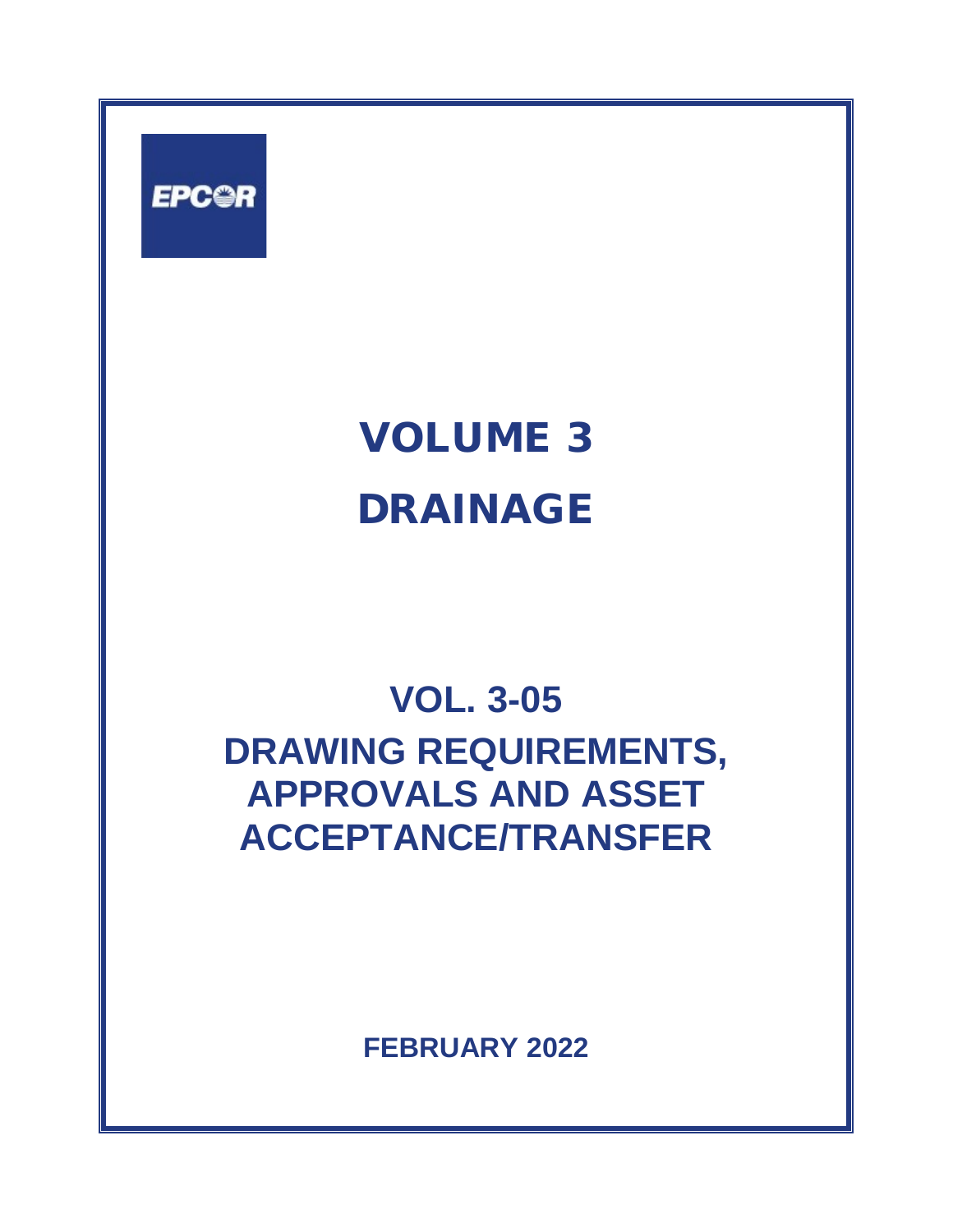

# VOLUME 3 DRAINAGE

# **VOL. 3-05 DRAWING REQUIREMENTS, APPROVALS AND ASSET ACCEPTANCE/TRANSFER**

**FEBRUARY 2022**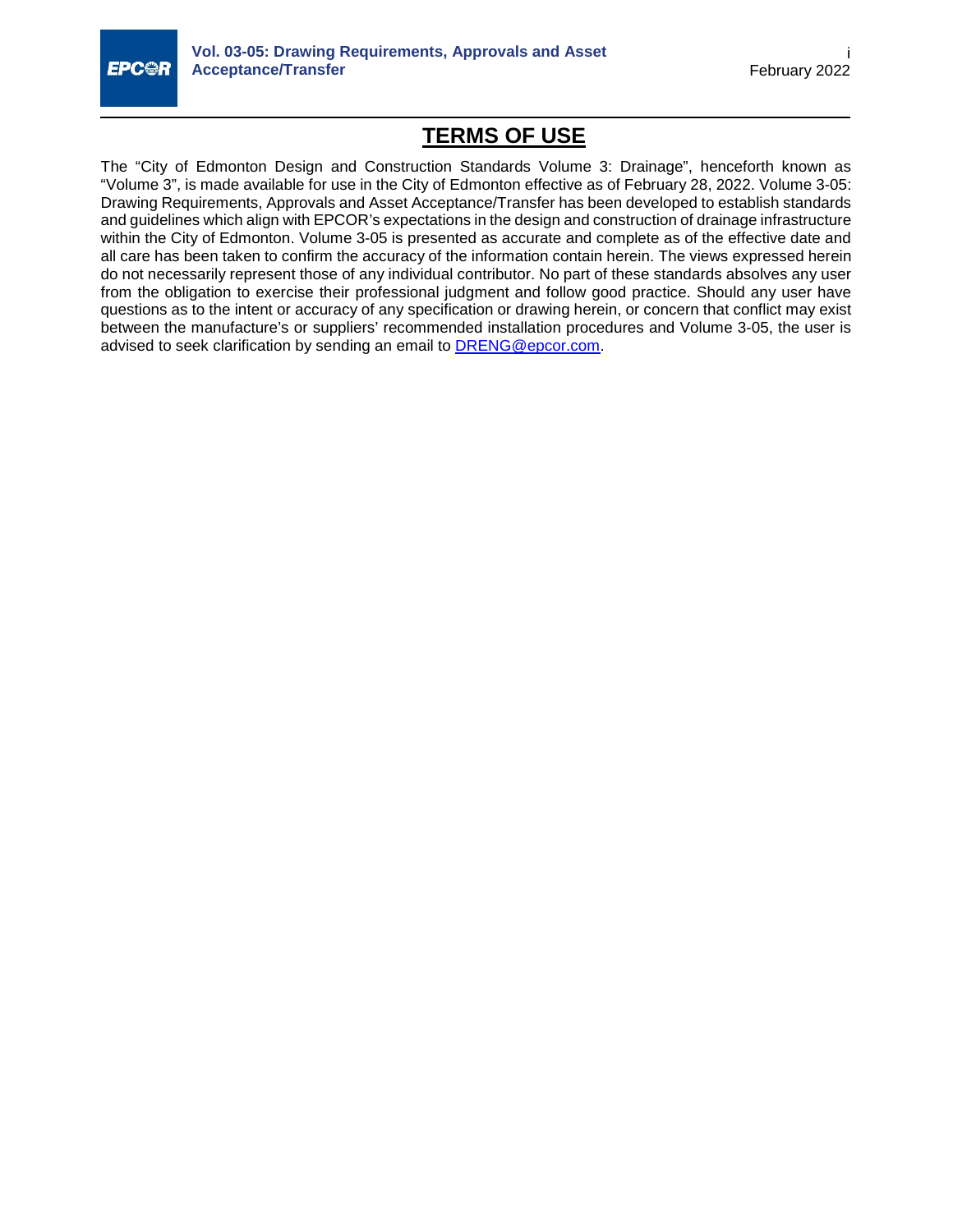

# **TERMS OF USE**

The "City of Edmonton Design and Construction Standards Volume 3: Drainage", henceforth known as "Volume 3", is made available for use in the City of Edmonton effective as of February 28, 2022. Volume 3-05: Drawing Requirements, Approvals and Asset Acceptance/Transfer has been developed to establish standards and guidelines which align with EPCOR's expectations in the design and construction of drainage infrastructure within the City of Edmonton. Volume 3-05 is presented as accurate and complete as of the effective date and all care has been taken to confirm the accuracy of the information contain herein. The views expressed herein do not necessarily represent those of any individual contributor. No part of these standards absolves any user from the obligation to exercise their professional judgment and follow good practice. Should any user have questions as to the intent or accuracy of any specification or drawing herein, or concern that conflict may exist between the manufacture's or suppliers' recommended installation procedures and Volume 3-05, the user is advised to seek clarification by sending an email to [DRENG@epcor.com.](mailto:DRENG@epcor.com)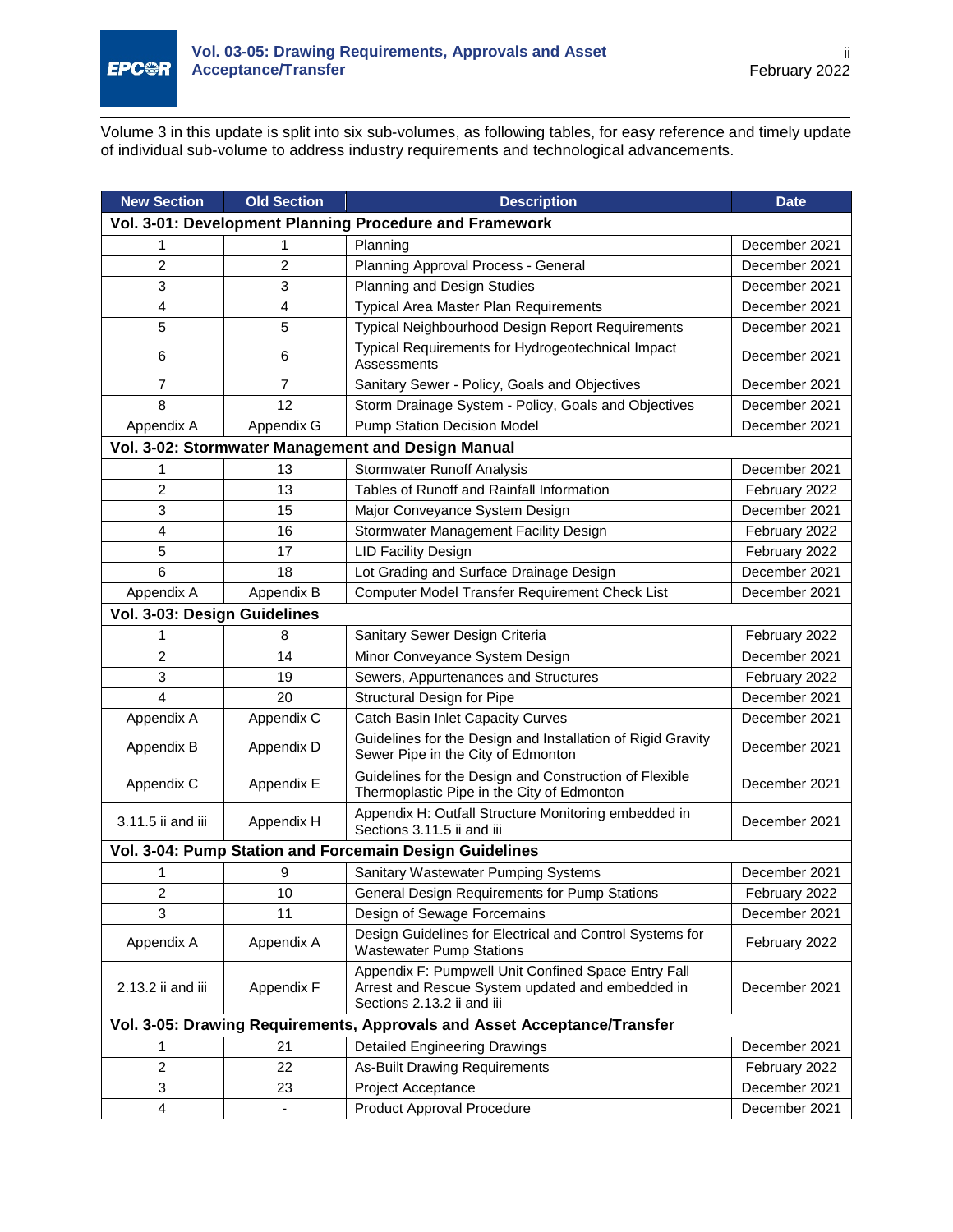

Volume 3 in this update is split into six sub-volumes, as following tables, for easy reference and timely update of individual sub-volume to address industry requirements and technological advancements.

| <b>New Section</b>                                                       | <b>Old Section</b> | <b>Description</b>                                                                                                                    | <b>Date</b>   |  |
|--------------------------------------------------------------------------|--------------------|---------------------------------------------------------------------------------------------------------------------------------------|---------------|--|
| Vol. 3-01: Development Planning Procedure and Framework                  |                    |                                                                                                                                       |               |  |
| 1                                                                        | 1                  | Planning                                                                                                                              | December 2021 |  |
| $\overline{2}$                                                           | 2                  | Planning Approval Process - General                                                                                                   | December 2021 |  |
| 3                                                                        | 3                  | Planning and Design Studies                                                                                                           | December 2021 |  |
| 4                                                                        | 4                  | Typical Area Master Plan Requirements                                                                                                 | December 2021 |  |
| 5                                                                        | 5                  | Typical Neighbourhood Design Report Requirements                                                                                      | December 2021 |  |
| 6                                                                        | 6                  | Typical Requirements for Hydrogeotechnical Impact<br>Assessments                                                                      | December 2021 |  |
| $\overline{7}$                                                           | 7                  | Sanitary Sewer - Policy, Goals and Objectives                                                                                         | December 2021 |  |
| 8                                                                        | 12                 | Storm Drainage System - Policy, Goals and Objectives                                                                                  | December 2021 |  |
| Appendix A                                                               | Appendix G         | Pump Station Decision Model                                                                                                           | December 2021 |  |
|                                                                          |                    | Vol. 3-02: Stormwater Management and Design Manual                                                                                    |               |  |
| 1                                                                        | 13                 | <b>Stormwater Runoff Analysis</b>                                                                                                     | December 2021 |  |
| 2                                                                        | 13                 | Tables of Runoff and Rainfall Information                                                                                             | February 2022 |  |
| 3                                                                        | 15                 | Major Conveyance System Design                                                                                                        | December 2021 |  |
| 4                                                                        | 16                 | Stormwater Management Facility Design                                                                                                 | February 2022 |  |
| 5                                                                        | 17                 | <b>LID Facility Design</b>                                                                                                            | February 2022 |  |
| 6                                                                        | 18                 | Lot Grading and Surface Drainage Design                                                                                               | December 2021 |  |
| Appendix A                                                               | Appendix B         | Computer Model Transfer Requirement Check List                                                                                        | December 2021 |  |
| Vol. 3-03: Design Guidelines                                             |                    |                                                                                                                                       |               |  |
| 1                                                                        | 8                  | Sanitary Sewer Design Criteria                                                                                                        | February 2022 |  |
| $\overline{c}$                                                           | 14                 | Minor Conveyance System Design                                                                                                        | December 2021 |  |
| 3                                                                        | 19                 | Sewers, Appurtenances and Structures                                                                                                  | February 2022 |  |
| $\overline{\mathbf{4}}$                                                  | 20                 | Structural Design for Pipe                                                                                                            | December 2021 |  |
| Appendix A                                                               | Appendix C         | <b>Catch Basin Inlet Capacity Curves</b>                                                                                              | December 2021 |  |
| Appendix B                                                               | Appendix D         | Guidelines for the Design and Installation of Rigid Gravity<br>Sewer Pipe in the City of Edmonton                                     | December 2021 |  |
| Appendix C                                                               | Appendix E         | Guidelines for the Design and Construction of Flexible<br>Thermoplastic Pipe in the City of Edmonton                                  | December 2021 |  |
| 3.11.5 ii and iii                                                        | Appendix H         | Appendix H: Outfall Structure Monitoring embedded in<br>Sections 3.11.5 ii and iii                                                    | December 2021 |  |
| Vol. 3-04: Pump Station and Forcemain Design Guidelines                  |                    |                                                                                                                                       |               |  |
| 1                                                                        | 9                  | Sanitary Wastewater Pumping Systems                                                                                                   | December 2021 |  |
| 2                                                                        | 10                 | General Design Requirements for Pump Stations                                                                                         | February 2022 |  |
| 3                                                                        | 11                 | Design of Sewage Forcemains                                                                                                           | December 2021 |  |
| Appendix A                                                               | Appendix A         | Design Guidelines for Electrical and Control Systems for<br><b>Wastewater Pump Stations</b>                                           | February 2022 |  |
| 2.13.2 ii and iii                                                        | Appendix F         | Appendix F: Pumpwell Unit Confined Space Entry Fall<br>Arrest and Rescue System updated and embedded in<br>Sections 2.13.2 ii and iii | December 2021 |  |
| Vol. 3-05: Drawing Requirements, Approvals and Asset Acceptance/Transfer |                    |                                                                                                                                       |               |  |
| 1                                                                        | 21                 | Detailed Engineering Drawings                                                                                                         | December 2021 |  |
| $\overline{c}$                                                           | 22                 | <b>As-Built Drawing Requirements</b>                                                                                                  | February 2022 |  |
| 3                                                                        | 23                 | Project Acceptance                                                                                                                    | December 2021 |  |
| 4                                                                        |                    | Product Approval Procedure                                                                                                            | December 2021 |  |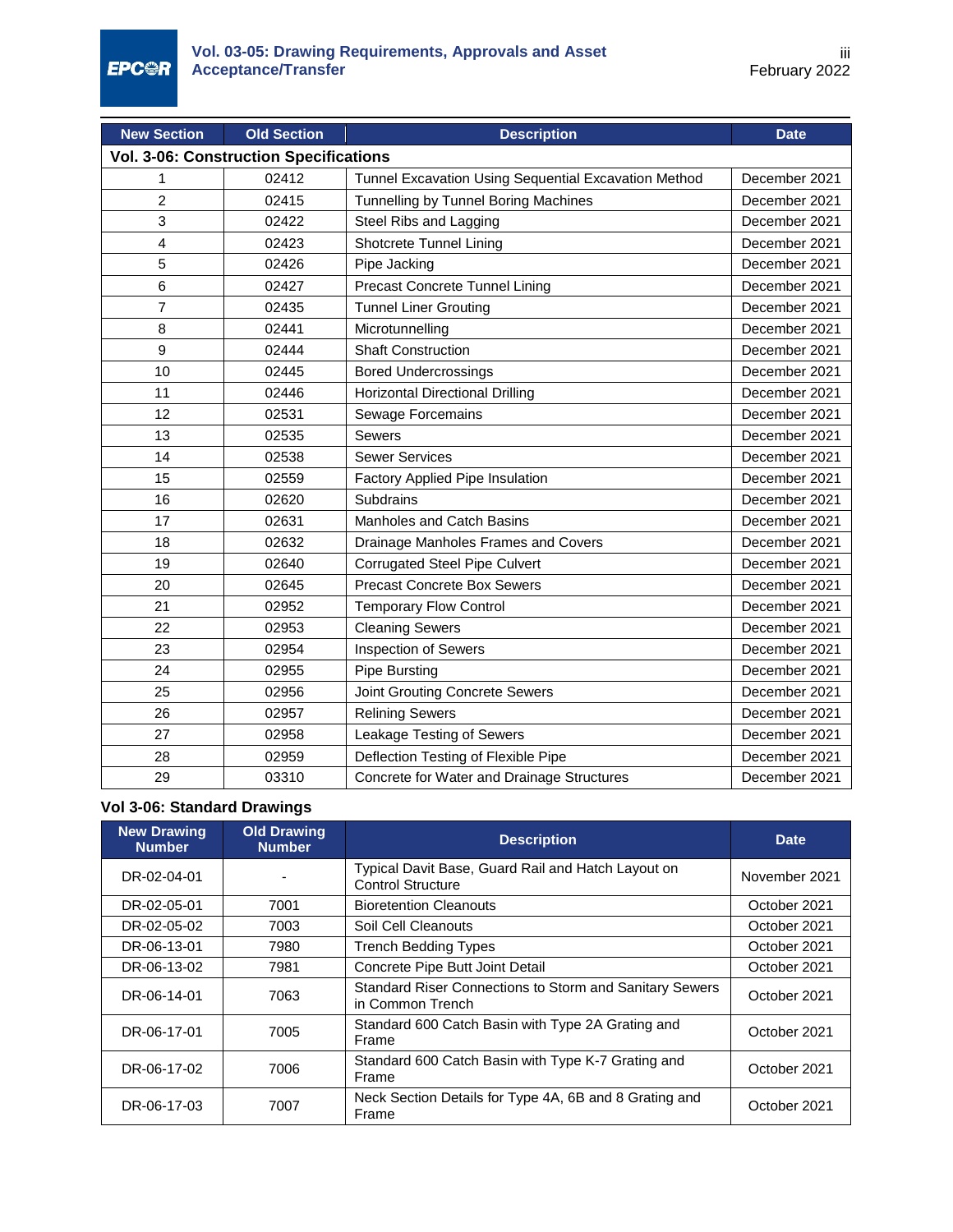| <b>New Section</b>                            | <b>Old Section</b> | <b>Description</b>                                   | <b>Date</b>   |  |
|-----------------------------------------------|--------------------|------------------------------------------------------|---------------|--|
| <b>Vol. 3-06: Construction Specifications</b> |                    |                                                      |               |  |
| 1                                             | 02412              | Tunnel Excavation Using Sequential Excavation Method | December 2021 |  |
| $\overline{c}$                                | 02415              | Tunnelling by Tunnel Boring Machines                 | December 2021 |  |
| 3                                             | 02422              | Steel Ribs and Lagging                               | December 2021 |  |
| 4                                             | 02423              | Shotcrete Tunnel Lining                              | December 2021 |  |
| 5                                             | 02426              | Pipe Jacking                                         | December 2021 |  |
| 6                                             | 02427              | Precast Concrete Tunnel Lining                       | December 2021 |  |
| $\overline{7}$                                | 02435              | <b>Tunnel Liner Grouting</b>                         | December 2021 |  |
| 8                                             | 02441              | Microtunnelling                                      | December 2021 |  |
| 9                                             | 02444              | <b>Shaft Construction</b>                            | December 2021 |  |
| 10                                            | 02445              | <b>Bored Undercrossings</b>                          | December 2021 |  |
| 11                                            | 02446              | <b>Horizontal Directional Drilling</b>               | December 2021 |  |
| 12                                            | 02531              | Sewage Forcemains                                    | December 2021 |  |
| 13                                            | 02535              | <b>Sewers</b>                                        | December 2021 |  |
| 14                                            | 02538              | <b>Sewer Services</b>                                | December 2021 |  |
| 15                                            | 02559              | Factory Applied Pipe Insulation                      | December 2021 |  |
| 16                                            | 02620              | Subdrains                                            | December 2021 |  |
| 17                                            | 02631              | <b>Manholes and Catch Basins</b>                     | December 2021 |  |
| 18                                            | 02632              | Drainage Manholes Frames and Covers                  | December 2021 |  |
| 19                                            | 02640              | <b>Corrugated Steel Pipe Culvert</b>                 | December 2021 |  |
| 20                                            | 02645              | <b>Precast Concrete Box Sewers</b>                   | December 2021 |  |
| 21                                            | 02952              | <b>Temporary Flow Control</b>                        | December 2021 |  |
| 22                                            | 02953              | <b>Cleaning Sewers</b>                               | December 2021 |  |
| 23                                            | 02954              | Inspection of Sewers                                 | December 2021 |  |
| 24                                            | 02955              | <b>Pipe Bursting</b>                                 | December 2021 |  |
| 25                                            | 02956              | Joint Grouting Concrete Sewers                       | December 2021 |  |
| 26                                            | 02957              | <b>Relining Sewers</b>                               | December 2021 |  |
| 27                                            | 02958              | Leakage Testing of Sewers                            | December 2021 |  |
| 28                                            | 02959              | Deflection Testing of Flexible Pipe                  | December 2021 |  |
| 29                                            | 03310              | Concrete for Water and Drainage Structures           | December 2021 |  |

## **Vol 3-06: Standard Drawings**

| <b>New Drawing</b><br><b>Number</b> | <b>Old Drawing</b><br><b>Number</b> | <b>Description</b>                                                             | <b>Date</b>   |
|-------------------------------------|-------------------------------------|--------------------------------------------------------------------------------|---------------|
| DR-02-04-01                         |                                     | Typical Davit Base, Guard Rail and Hatch Layout on<br><b>Control Structure</b> | November 2021 |
| DR-02-05-01                         | 7001                                | <b>Bioretention Cleanouts</b>                                                  | October 2021  |
| DR-02-05-02                         | 7003                                | Soil Cell Cleanouts                                                            | October 2021  |
| DR-06-13-01                         | 7980                                | <b>Trench Bedding Types</b>                                                    | October 2021  |
| DR-06-13-02                         | 7981                                | Concrete Pipe Butt Joint Detail                                                | October 2021  |
| DR-06-14-01                         | 7063                                | Standard Riser Connections to Storm and Sanitary Sewers<br>in Common Trench    | October 2021  |
| DR-06-17-01                         | 7005                                | Standard 600 Catch Basin with Type 2A Grating and<br>Frame                     | October 2021  |
| DR-06-17-02                         | 7006                                | Standard 600 Catch Basin with Type K-7 Grating and<br>Frame                    | October 2021  |
| DR-06-17-03                         | 7007                                | Neck Section Details for Type 4A, 6B and 8 Grating and<br>Frame                | October 2021  |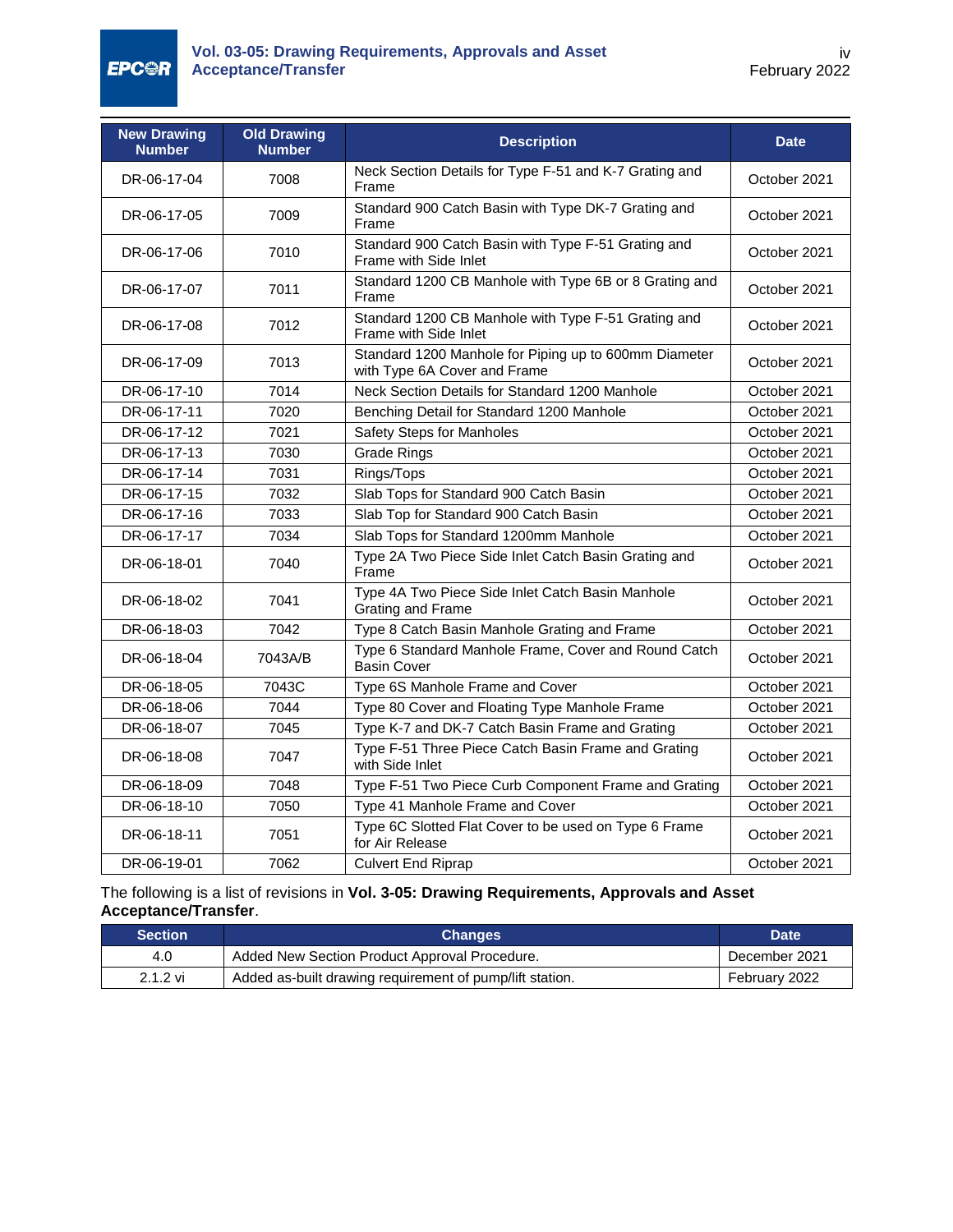**EPC@R** 

| <b>New Drawing</b><br><b>Number</b> | <b>Old Drawing</b><br><b>Number</b> | <b>Description</b>                                                                    | <b>Date</b>  |  |
|-------------------------------------|-------------------------------------|---------------------------------------------------------------------------------------|--------------|--|
| DR-06-17-04                         | 7008                                | Neck Section Details for Type F-51 and K-7 Grating and<br>Frame                       | October 2021 |  |
| DR-06-17-05                         | 7009                                | Standard 900 Catch Basin with Type DK-7 Grating and<br>Frame                          | October 2021 |  |
| DR-06-17-06                         | 7010                                | Standard 900 Catch Basin with Type F-51 Grating and<br>Frame with Side Inlet          | October 2021 |  |
| DR-06-17-07                         | 7011                                | Standard 1200 CB Manhole with Type 6B or 8 Grating and<br>Frame                       | October 2021 |  |
| DR-06-17-08                         | 7012                                | Standard 1200 CB Manhole with Type F-51 Grating and<br>Frame with Side Inlet          | October 2021 |  |
| DR-06-17-09                         | 7013                                | Standard 1200 Manhole for Piping up to 600mm Diameter<br>with Type 6A Cover and Frame | October 2021 |  |
| DR-06-17-10                         | 7014                                | Neck Section Details for Standard 1200 Manhole                                        | October 2021 |  |
| DR-06-17-11                         | 7020                                | Benching Detail for Standard 1200 Manhole                                             | October 2021 |  |
| DR-06-17-12                         | 7021                                | <b>Safety Steps for Manholes</b>                                                      | October 2021 |  |
| DR-06-17-13                         | 7030                                | <b>Grade Rings</b>                                                                    | October 2021 |  |
| DR-06-17-14                         | 7031                                | Rings/Tops                                                                            | October 2021 |  |
| DR-06-17-15                         | 7032                                | Slab Tops for Standard 900 Catch Basin                                                | October 2021 |  |
| DR-06-17-16                         | 7033                                | Slab Top for Standard 900 Catch Basin                                                 | October 2021 |  |
| DR-06-17-17                         | 7034                                | Slab Tops for Standard 1200mm Manhole                                                 | October 2021 |  |
| DR-06-18-01                         | 7040                                | Type 2A Two Piece Side Inlet Catch Basin Grating and<br>Frame                         | October 2021 |  |
| DR-06-18-02                         | 7041                                | Type 4A Two Piece Side Inlet Catch Basin Manhole<br>Grating and Frame                 | October 2021 |  |
| DR-06-18-03                         | 7042                                | Type 8 Catch Basin Manhole Grating and Frame                                          | October 2021 |  |
| DR-06-18-04                         | 7043A/B                             | Type 6 Standard Manhole Frame, Cover and Round Catch<br><b>Basin Cover</b>            | October 2021 |  |
| DR-06-18-05                         | 7043C                               | Type 6S Manhole Frame and Cover                                                       | October 2021 |  |
| DR-06-18-06                         | 7044                                | Type 80 Cover and Floating Type Manhole Frame                                         | October 2021 |  |
| DR-06-18-07                         | 7045                                | Type K-7 and DK-7 Catch Basin Frame and Grating                                       | October 2021 |  |
| DR-06-18-08                         | 7047                                | Type F-51 Three Piece Catch Basin Frame and Grating<br>with Side Inlet                | October 2021 |  |
| DR-06-18-09                         | 7048                                | Type F-51 Two Piece Curb Component Frame and Grating                                  | October 2021 |  |
| DR-06-18-10                         | 7050                                | Type 41 Manhole Frame and Cover                                                       | October 2021 |  |
| DR-06-18-11                         | 7051                                | Type 6C Slotted Flat Cover to be used on Type 6 Frame<br>for Air Release              | October 2021 |  |
| DR-06-19-01                         | 7062                                | <b>Culvert End Riprap</b>                                                             | October 2021 |  |

#### The following is a list of revisions in **Vol. 3-05: Drawing Requirements, Approvals and Asset Acceptance/Transfer**.

| <b>Section</b> | <b>Changes</b>                                           | <b>Date</b>   |
|----------------|----------------------------------------------------------|---------------|
| 4.0            | Added New Section Product Approval Procedure.            | December 2021 |
| $2.1.2$ vi     | Added as-built drawing requirement of pump/lift station. | February 2022 |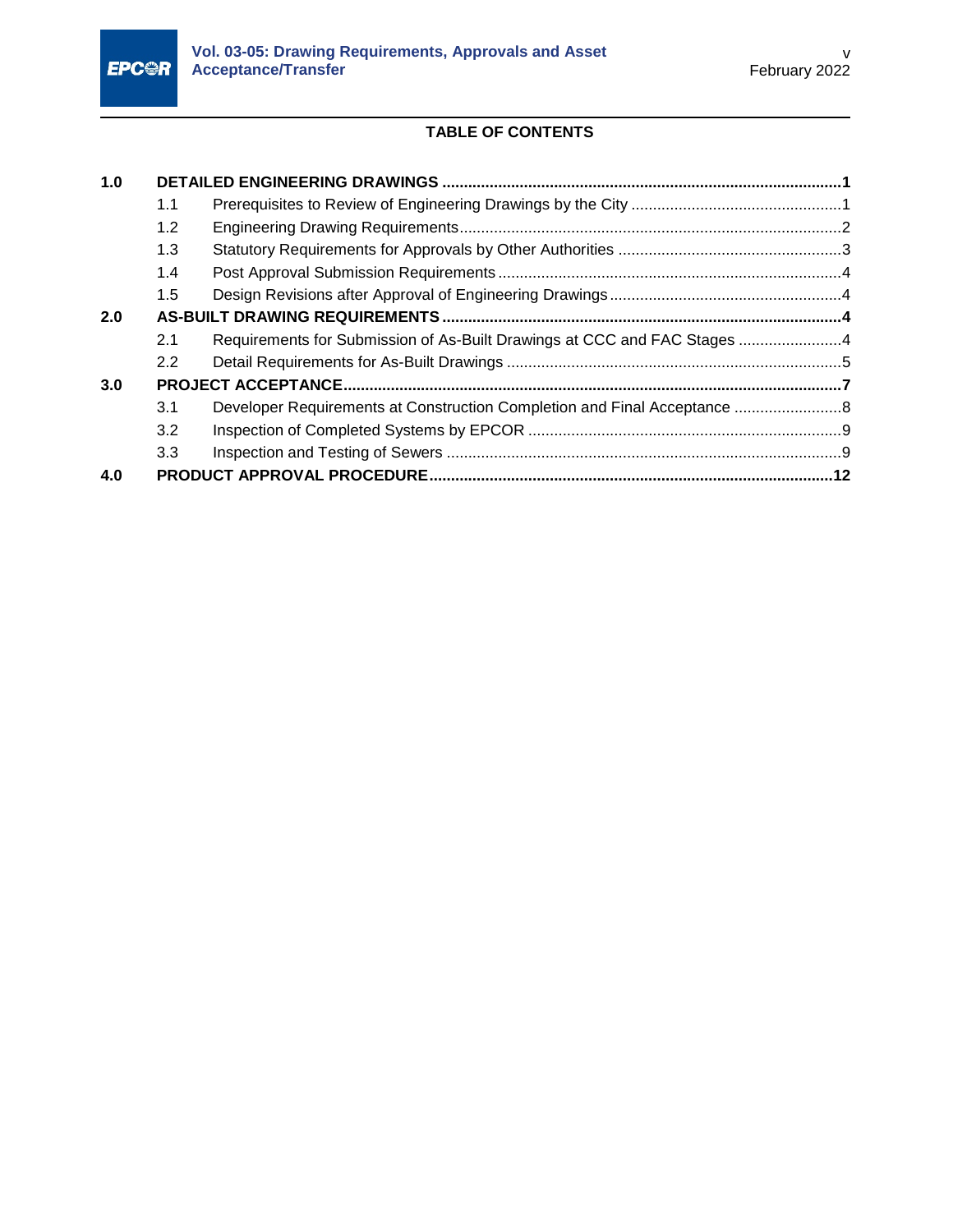

# **TABLE OF CONTENTS**

| 1.0 |     |                                                                          |  |  |  |
|-----|-----|--------------------------------------------------------------------------|--|--|--|
|     | 1.1 |                                                                          |  |  |  |
|     | 1.2 |                                                                          |  |  |  |
|     | 1.3 |                                                                          |  |  |  |
|     | 1.4 |                                                                          |  |  |  |
|     | 1.5 |                                                                          |  |  |  |
| 2.0 |     |                                                                          |  |  |  |
|     | 2.1 | Requirements for Submission of As-Built Drawings at CCC and FAC Stages 4 |  |  |  |
|     | 2.2 |                                                                          |  |  |  |
| 3.0 |     |                                                                          |  |  |  |
|     | 3.1 |                                                                          |  |  |  |
|     | 3.2 |                                                                          |  |  |  |
|     | 3.3 |                                                                          |  |  |  |
| 4.0 |     |                                                                          |  |  |  |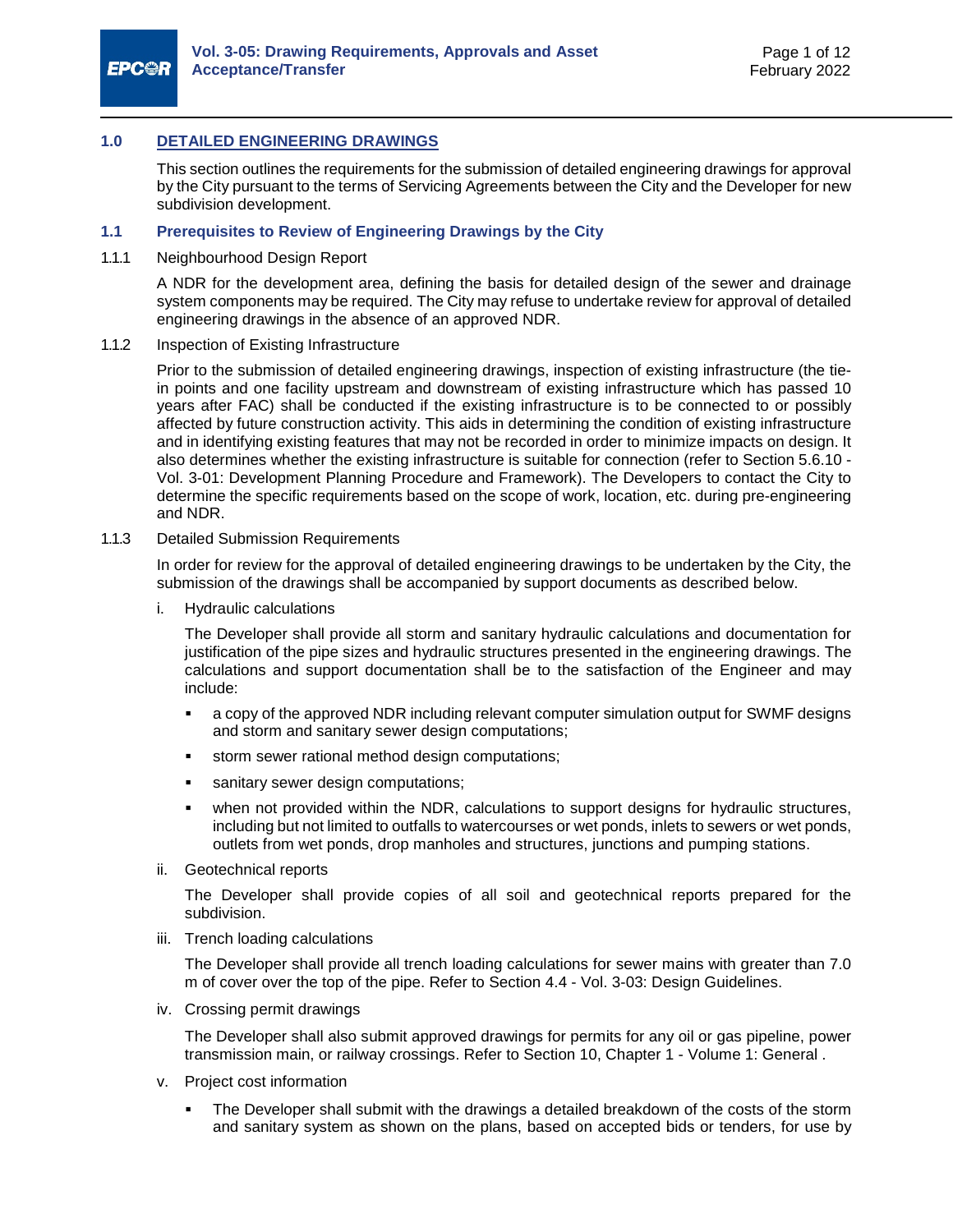

#### <span id="page-6-0"></span>**1.0 DETAILED ENGINEERING DRAWINGS**

This section outlines the requirements for the submission of detailed engineering drawings for approval by the City pursuant to the terms of Servicing Agreements between the City and the Developer for new subdivision development.

#### <span id="page-6-1"></span>**1.1 Prerequisites to Review of Engineering Drawings by the City**

1.1.1 Neighbourhood Design Report

A NDR for the development area, defining the basis for detailed design of the sewer and drainage system components may be required. The City may refuse to undertake review for approval of detailed engineering drawings in the absence of an approved NDR.

1.1.2 Inspection of Existing Infrastructure

Prior to the submission of detailed engineering drawings, inspection of existing infrastructure (the tiein points and one facility upstream and downstream of existing infrastructure which has passed 10 years after FAC) shall be conducted if the existing infrastructure is to be connected to or possibly affected by future construction activity. This aids in determining the condition of existing infrastructure and in identifying existing features that may not be recorded in order to minimize impacts on design. It also determines whether the existing infrastructure is suitable for connection (refer to Section 5.6.10 - Vol. 3-01: Development Planning Procedure and Framework). The Developers to contact the City to determine the specific requirements based on the scope of work, location, etc. during pre-engineering and NDR.

1.1.3 Detailed Submission Requirements

In order for review for the approval of detailed engineering drawings to be undertaken by the City, the submission of the drawings shall be accompanied by support documents as described below.

i. Hydraulic calculations

The Developer shall provide all storm and sanitary hydraulic calculations and documentation for justification of the pipe sizes and hydraulic structures presented in the engineering drawings. The calculations and support documentation shall be to the satisfaction of the Engineer and may include:

- a copy of the approved NDR including relevant computer simulation output for SWMF designs and storm and sanitary sewer design computations;
- storm sewer rational method design computations;
- **sanitary sewer design computations;**
- when not provided within the NDR, calculations to support designs for hydraulic structures, including but not limited to outfalls to watercourses or wet ponds, inlets to sewers or wet ponds, outlets from wet ponds, drop manholes and structures, junctions and pumping stations.
- ii. Geotechnical reports

The Developer shall provide copies of all soil and geotechnical reports prepared for the subdivision.

iii. Trench loading calculations

The Developer shall provide all trench loading calculations for sewer mains with greater than 7.0 m of cover over the top of the pipe. Refer to Section 4.4 - Vol. 3-03: Design Guidelines.

iv. Crossing permit drawings

The Developer shall also submit approved drawings for permits for any oil or gas pipeline, power transmission main, or railway crossings. Refer to Section 10, Chapter 1 - Volume 1: General .

- v. Project cost information
	- The Developer shall submit with the drawings a detailed breakdown of the costs of the storm and sanitary system as shown on the plans, based on accepted bids or tenders, for use by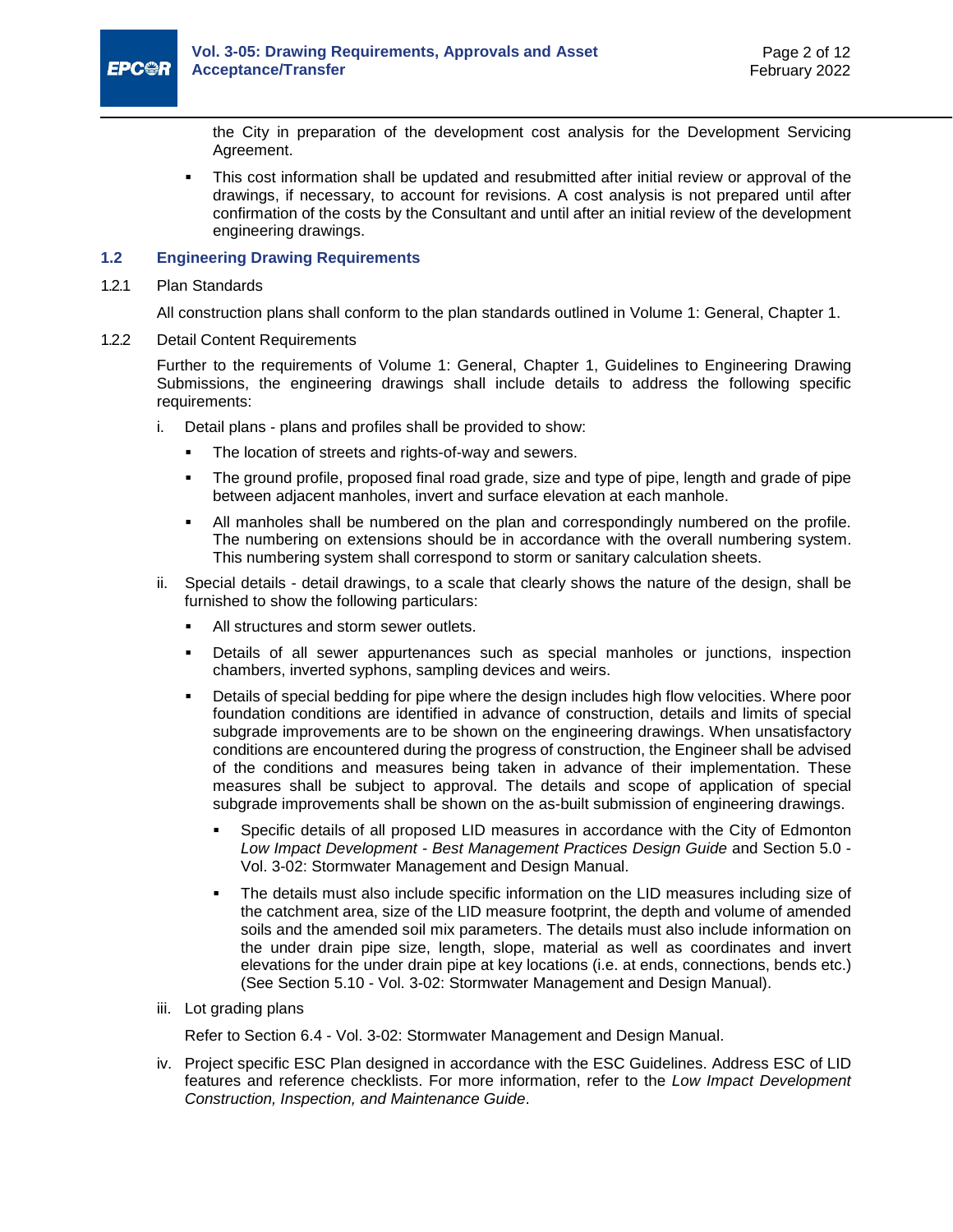

the City in preparation of the development cost analysis for the Development Servicing Agreement.

 This cost information shall be updated and resubmitted after initial review or approval of the drawings, if necessary, to account for revisions. A cost analysis is not prepared until after confirmation of the costs by the Consultant and until after an initial review of the development engineering drawings.

#### <span id="page-7-0"></span>**1.2 Engineering Drawing Requirements**

1.2.1 Plan Standards

All construction plans shall conform to the plan standards outlined in Volume 1: General, Chapter 1.

1.2.2 Detail Content Requirements

Further to the requirements of Volume 1: General, Chapter 1, Guidelines to Engineering Drawing Submissions, the engineering drawings shall include details to address the following specific requirements:

- i. Detail plans plans and profiles shall be provided to show:
	- The location of streets and rights-of-way and sewers.
	- The ground profile, proposed final road grade, size and type of pipe, length and grade of pipe between adjacent manholes, invert and surface elevation at each manhole.
	- All manholes shall be numbered on the plan and correspondingly numbered on the profile. The numbering on extensions should be in accordance with the overall numbering system. This numbering system shall correspond to storm or sanitary calculation sheets.
- ii. Special details detail drawings, to a scale that clearly shows the nature of the design, shall be furnished to show the following particulars:
	- All structures and storm sewer outlets.
	- Details of all sewer appurtenances such as special manholes or junctions, inspection chambers, inverted syphons, sampling devices and weirs.
	- Details of special bedding for pipe where the design includes high flow velocities. Where poor foundation conditions are identified in advance of construction, details and limits of special subgrade improvements are to be shown on the engineering drawings. When unsatisfactory conditions are encountered during the progress of construction, the Engineer shall be advised of the conditions and measures being taken in advance of their implementation. These measures shall be subject to approval. The details and scope of application of special subgrade improvements shall be shown on the as-built submission of engineering drawings.
		- Specific details of all proposed LID measures in accordance with the City of Edmonton *Low Impact Development - Best Management Practices Design Guide* and Section 5.0 - Vol. 3-02: Stormwater Management and Design Manual.
		- The details must also include specific information on the LID measures including size of the catchment area, size of the LID measure footprint, the depth and volume of amended soils and the amended soil mix parameters. The details must also include information on the under drain pipe size, length, slope, material as well as coordinates and invert elevations for the under drain pipe at key locations (i.e. at ends, connections, bends etc.) (See Section 5.10 - Vol. 3-02: Stormwater Management and Design Manual).
- iii. Lot grading plans

Refer to Section 6.4 - Vol. 3-02: Stormwater Management and Design Manual.

iv. Project specific ESC Plan designed in accordance with the ESC Guidelines. Address ESC of LID features and reference checklists. For more information, refer to the *Low Impact Development Construction, Inspection, and Maintenance Guide*.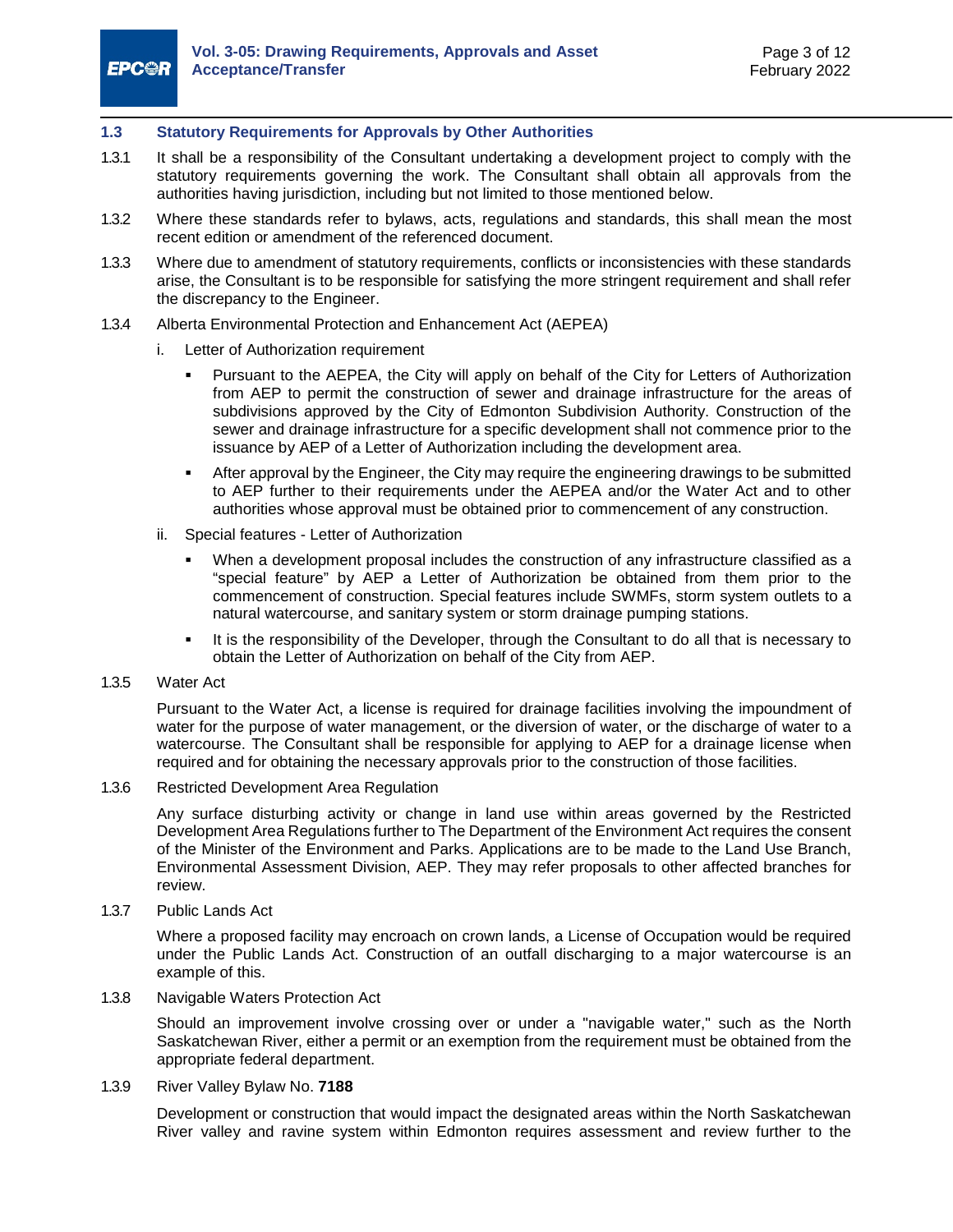#### <span id="page-8-0"></span>**1.3 Statutory Requirements for Approvals by Other Authorities**

- 1.3.1 It shall be a responsibility of the Consultant undertaking a development project to comply with the statutory requirements governing the work. The Consultant shall obtain all approvals from the authorities having jurisdiction, including but not limited to those mentioned below.
- 1.3.2 Where these standards refer to bylaws, acts, regulations and standards, this shall mean the most recent edition or amendment of the referenced document.
- 1.3.3 Where due to amendment of statutory requirements, conflicts or inconsistencies with these standards arise, the Consultant is to be responsible for satisfying the more stringent requirement and shall refer the discrepancy to the Engineer.
- 1.3.4 Alberta Environmental Protection and Enhancement Act (AEPEA)
	- i. Letter of Authorization requirement
		- Pursuant to the AEPEA, the City will apply on behalf of the City for Letters of Authorization from AEP to permit the construction of sewer and drainage infrastructure for the areas of subdivisions approved by the City of Edmonton Subdivision Authority. Construction of the sewer and drainage infrastructure for a specific development shall not commence prior to the issuance by AEP of a Letter of Authorization including the development area.
		- After approval by the Engineer, the City may require the engineering drawings to be submitted to AEP further to their requirements under the AEPEA and/or the Water Act and to other authorities whose approval must be obtained prior to commencement of any construction.
	- ii. Special features Letter of Authorization
		- When a development proposal includes the construction of any infrastructure classified as a "special feature" by AEP a Letter of Authorization be obtained from them prior to the commencement of construction. Special features include SWMFs, storm system outlets to a natural watercourse, and sanitary system or storm drainage pumping stations.
		- It is the responsibility of the Developer, through the Consultant to do all that is necessary to obtain the Letter of Authorization on behalf of the City from AEP.
- 1.3.5 Water Act

Pursuant to the Water Act, a license is required for drainage facilities involving the impoundment of water for the purpose of water management, or the diversion of water, or the discharge of water to a watercourse. The Consultant shall be responsible for applying to AEP for a drainage license when required and for obtaining the necessary approvals prior to the construction of those facilities.

#### 1.3.6 Restricted Development Area Regulation

Any surface disturbing activity or change in land use within areas governed by the Restricted Development Area Regulations further to The Department of the Environment Act requires the consent of the Minister of the Environment and Parks. Applications are to be made to the Land Use Branch, Environmental Assessment Division, AEP. They may refer proposals to other affected branches for review.

1.3.7 Public Lands Act

Where a proposed facility may encroach on crown lands, a License of Occupation would be required under the Public Lands Act. Construction of an outfall discharging to a major watercourse is an example of this.

1.3.8 Navigable Waters Protection Act

Should an improvement involve crossing over or under a "navigable water," such as the North Saskatchewan River, either a permit or an exemption from the requirement must be obtained from the appropriate federal department.

1.3.9 River Valley Bylaw No. **[7188](https://www.edmonton.ca/residential_neighbourhoods/documents/plans_in_effect/North_Saskatchewan_River_ARP_Consolidation.pdf)**

Development or construction that would impact the designated areas within the North Saskatchewan River valley and ravine system within Edmonton requires assessment and review further to the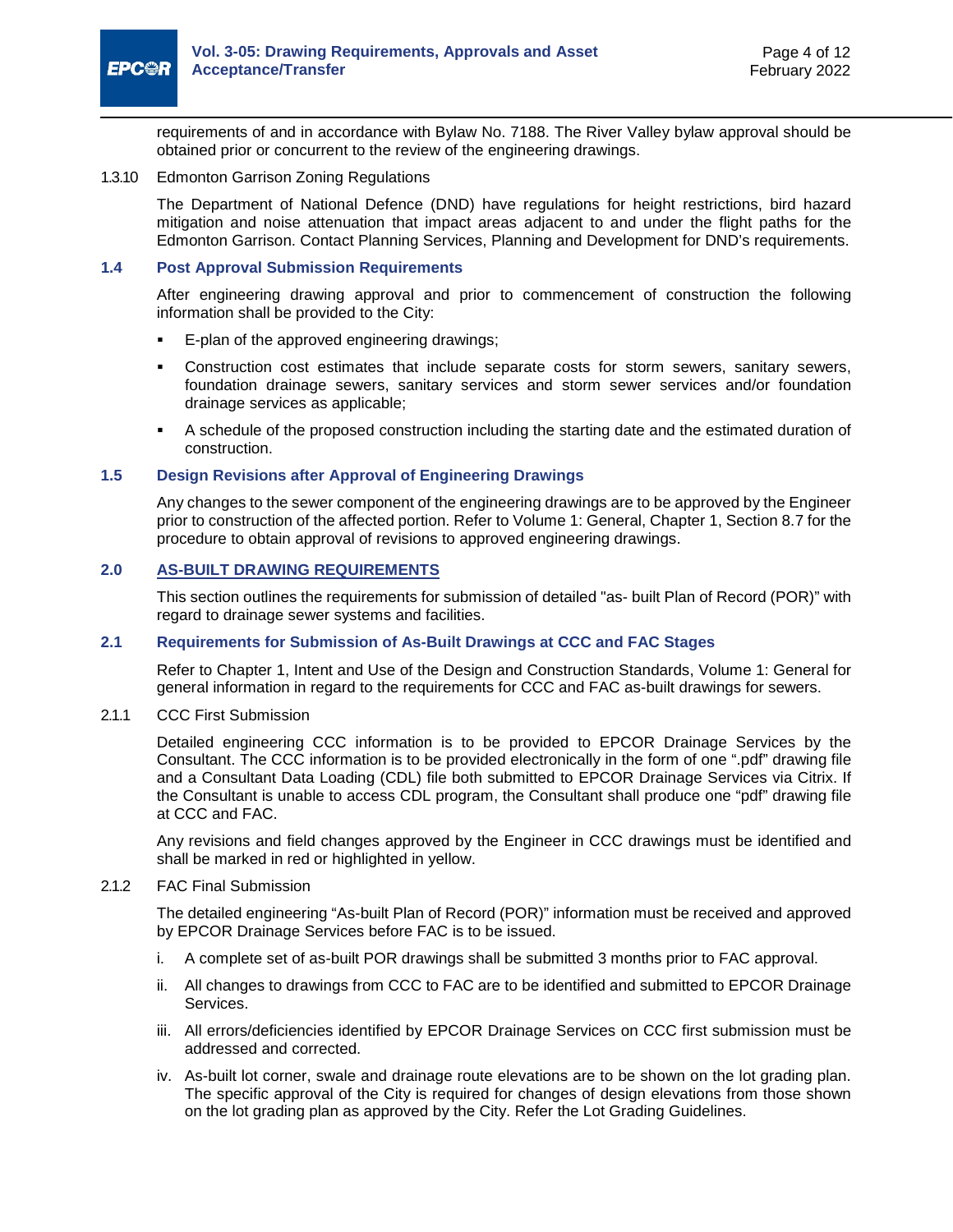

requirements of and in accordance with Bylaw No. [7188.](https://www.edmonton.ca/residential_neighbourhoods/documents/plans_in_effect/North_Saskatchewan_River_ARP_Consolidation.pdf) The River Valley bylaw approval should be obtained prior or concurrent to the review of the engineering drawings.

#### 1.3.10 Edmonton Garrison Zoning Regulations

The Department of National Defence (DND) have regulations for height restrictions, bird hazard mitigation and noise attenuation that impact areas adjacent to and under the flight paths for the Edmonton Garrison. Contact Planning Services, Planning and Development for DND's requirements.

#### <span id="page-9-0"></span>**1.4 Post Approval Submission Requirements**

After engineering drawing approval and prior to commencement of construction the following information shall be provided to the City:

- **E-plan of the approved engineering drawings;**
- Construction cost estimates that include separate costs for storm sewers, sanitary sewers, foundation drainage sewers, sanitary services and storm sewer services and/or foundation drainage services as applicable;
- A schedule of the proposed construction including the starting date and the estimated duration of construction.

#### <span id="page-9-1"></span>**1.5 Design Revisions after Approval of Engineering Drawings**

Any changes to the sewer component of the engineering drawings are to be approved by the Engineer prior to construction of the affected portion. Refer to Volume 1: General, Chapter 1, Section 8.7 for the procedure to obtain approval of revisions to approved engineering drawings.

#### <span id="page-9-2"></span>**2.0 AS-BUILT DRAWING REQUIREMENTS**

This section outlines the requirements for submission of detailed "as- built Plan of Record (POR)" with regard to drainage sewer systems and facilities.

#### <span id="page-9-3"></span>**2.1 Requirements for Submission of As-Built Drawings at CCC and FAC Stages**

Refer to Chapter 1, Intent and Use of the Design and Construction Standards, Volume 1: General for general information in regard to the requirements for CCC and FAC as-built drawings for sewers.

#### 2.1.1 CCC First Submission

Detailed engineering CCC information is to be provided to EPCOR Drainage Services by the Consultant. The CCC information is to be provided electronically in the form of one ".pdf" drawing file and a Consultant Data Loading (CDL) file both submitted to EPCOR Drainage Services via Citrix. If the Consultant is unable to access CDL program, the Consultant shall produce one "pdf" drawing file at CCC and FAC.

Any revisions and field changes approved by the Engineer in CCC drawings must be identified and shall be marked in red or highlighted in yellow.

#### <span id="page-9-4"></span>2.1.2 FAC Final Submission

The detailed engineering "As-built Plan of Record (POR)" information must be received and approved by EPCOR Drainage Services before FAC is to be issued.

- i. A complete set of as-built POR drawings shall be submitted 3 months prior to FAC approval.
- ii. All changes to drawings from CCC to FAC are to be identified and submitted to EPCOR Drainage Services.
- iii. All errors/deficiencies identified by EPCOR Drainage Services on CCC first submission must be addressed and corrected.
- iv. As-built lot corner, swale and drainage route elevations are to be shown on the lot grading plan. The specific approval of the City is required for changes of design elevations from those shown on the lot grading plan as approved by the City. Refer the Lot Grading Guidelines.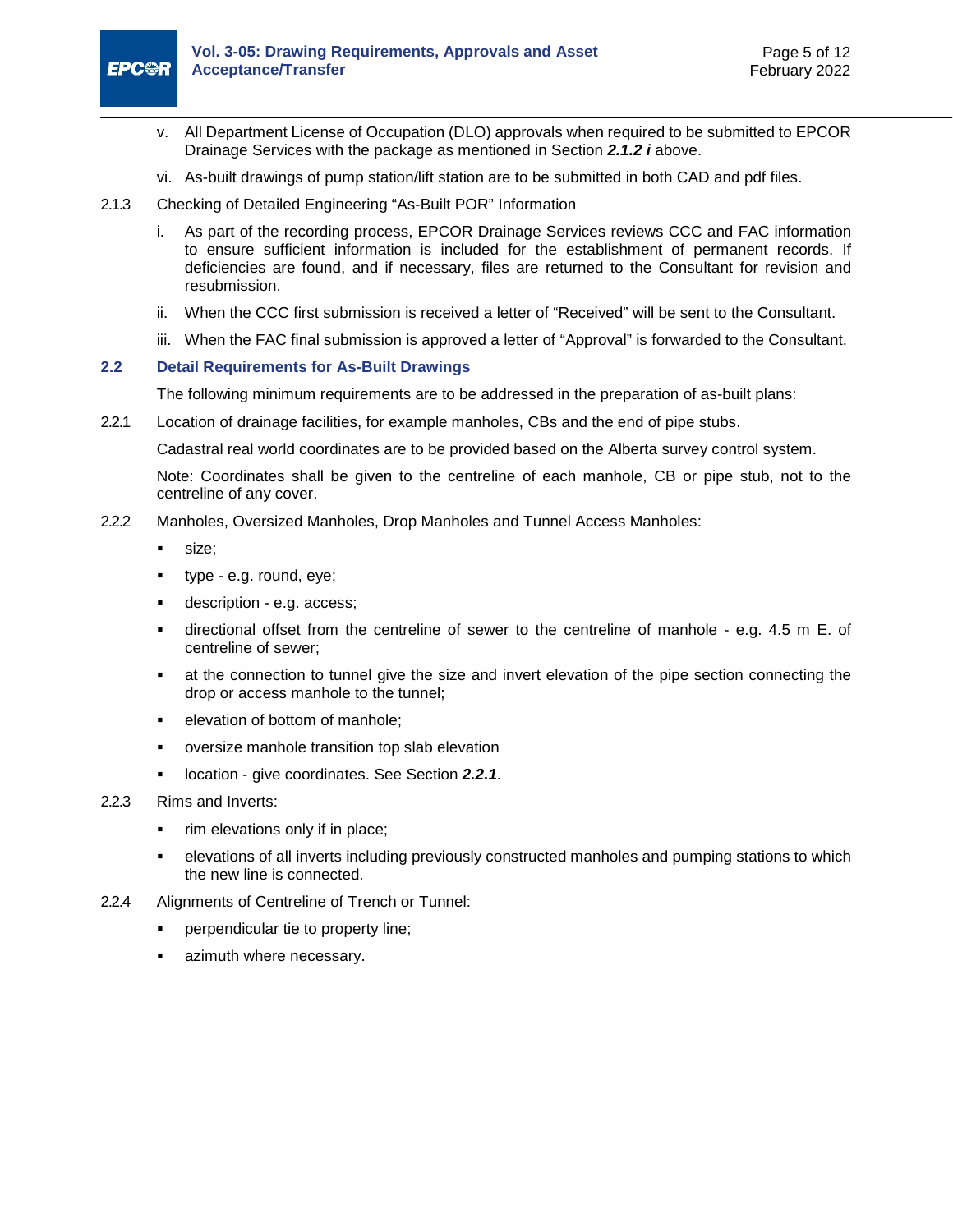

- v. All Department License of Occupation (DLO) approvals when required to be submitted to EPCOR Drainage Services with the package as mentioned in Section *[2.1.2](#page-9-4) i* above.
- vi. As-built drawings of pump station/lift station are to be submitted in both CAD and pdf files.
- 2.1.3 Checking of Detailed Engineering "As-Built POR" Information
	- i. As part of the recording process, EPCOR Drainage Services reviews CCC and FAC information to ensure sufficient information is included for the establishment of permanent records. If deficiencies are found, and if necessary, files are returned to the Consultant for revision and resubmission.
	- ii. When the CCC first submission is received a letter of "Received" will be sent to the Consultant.
	- iii. When the FAC final submission is approved a letter of "Approval" is forwarded to the Consultant.

#### <span id="page-10-0"></span>**2.2 Detail Requirements for As-Built Drawings**

<span id="page-10-2"></span>The following minimum requirements are to be addressed in the preparation of as-built plans:

<span id="page-10-1"></span>2.2.1 Location of drainage facilities, for example manholes, CBs and the end of pipe stubs.

Cadastral real world coordinates are to be provided based on the Alberta survey control system.

Note: Coordinates shall be given to the centreline of each manhole, CB or pipe stub, not to the centreline of any cover.

- 2.2.2 Manholes, Oversized Manholes, Drop Manholes and Tunnel Access Manholes:
	- size;
	- type e.g. round, eye;
	- description e.g. access;
	- directional offset from the centreline of sewer to the centreline of manhole e.g. 4.5 m E. of centreline of sewer;
	- at the connection to tunnel give the size and invert elevation of the pipe section connecting the drop or access manhole to the tunnel;
	- elevation of bottom of manhole;
	- oversize manhole transition top slab elevation
	- **location give coordinates. See Section [2.2.1](#page-10-1).**
- 2.2.3 Rims and Inverts:
	- rim elevations only if in place;
	- elevations of all inverts including previously constructed manholes and pumping stations to which the new line is connected.
- 2.2.4 Alignments of Centreline of Trench or Tunnel:
	- **•** perpendicular tie to property line;
	- azimuth where necessary.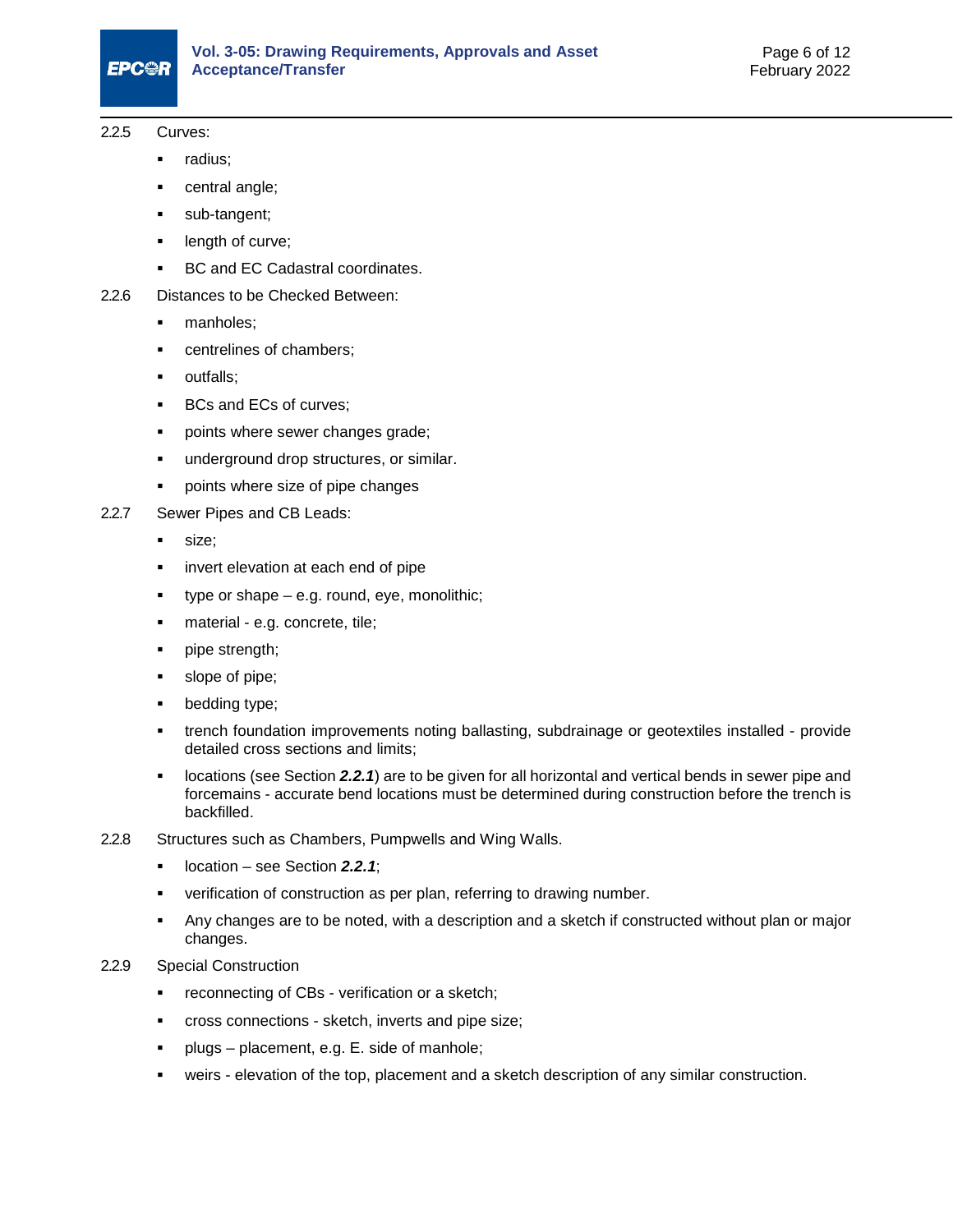#### 2.2.5 Curves:

- **radius**;
- central angle;
- sub-tangent;
- **-** length of curve;
- **BC and EC Cadastral coordinates.**
- 2.2.6 Distances to be Checked Between:
	- manholes;
	- centrelines of chambers;
	- outfalls;
	- **BCs and ECs of curves;**
	- points where sewer changes grade;
	- **underground drop structures, or similar.**
	- **•** points where size of pipe changes
- 2.2.7 Sewer Pipes and CB Leads:
	- size;
	- **i** invert elevation at each end of pipe
	- type or shape e.g. round, eye, monolithic;
	- material e.g. concrete, tile;
	- pipe strength;
	- slope of pipe;
	- bedding type;
	- trench foundation improvements noting ballasting, subdrainage or geotextiles installed provide detailed cross sections and limits;
	- locations (see Section *[2.2.1](#page-10-2)*) are to be given for all horizontal and vertical bends in sewer pipe and forcemains - accurate bend locations must be determined during construction before the trench is backfilled.
- 2.2.8 Structures such as Chambers, Pumpwells and Wing Walls.
	- location see Section *[2.2.1](#page-10-1)*;
	- verification of construction as per plan, referring to drawing number.
	- Any changes are to be noted, with a description and a sketch if constructed without plan or major changes.
- 2.2.9 Special Construction
	- **•** reconnecting of CBs verification or a sketch;
	- cross connections sketch, inverts and pipe size;
	- **Parage placement, e.g. E. side of manhole;**
	- weirs elevation of the top, placement and a sketch description of any similar construction.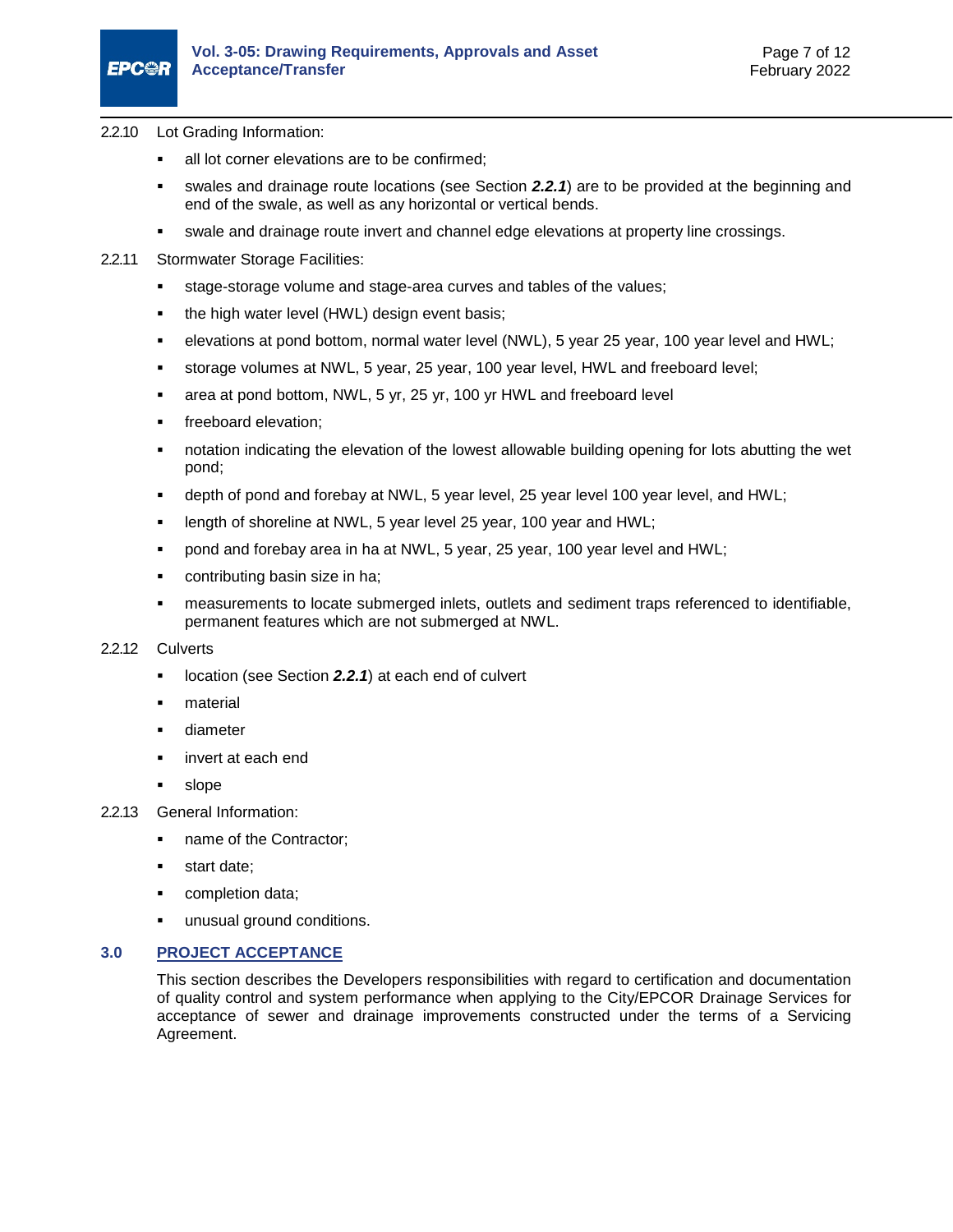- 2.2.10 Lot Grading Information:
	- all lot corner elevations are to be confirmed;
	- swales and drainage route locations (see Section *[2.2.1](#page-10-2)*) are to be provided at the beginning and end of the swale, as well as any horizontal or vertical bends.
	- swale and drainage route invert and channel edge elevations at property line crossings.
- 2.2.11 Stormwater Storage Facilities:
	- stage-storage volume and stage-area curves and tables of the values;
	- the high water level (HWL) design event basis;
	- elevations at pond bottom, normal water level (NWL), 5 year 25 year, 100 year level and HWL;
	- storage volumes at NWL, 5 year, 25 year, 100 year level, HWL and freeboard level;
	- area at pond bottom, NWL, 5 yr, 25 yr, 100 yr HWL and freeboard level
	- freeboard elevation;
	- notation indicating the elevation of the lowest allowable building opening for lots abutting the wet pond;
	- depth of pond and forebay at NWL, 5 year level, 25 year level 100 year level, and HWL;
	- length of shoreline at NWL, 5 year level 25 year, 100 year and HWL;
	- pond and forebay area in ha at NWL, 5 year, 25 year, 100 year level and HWL;
	- contributing basin size in ha;
	- measurements to locate submerged inlets, outlets and sediment traps referenced to identifiable, permanent features which are not submerged at NWL.

#### 2.2.12 Culverts

- location (see Section *[2.2.1](#page-10-2)*) at each end of culvert
- material
- diameter
- invert at each end
- **slope**
- 2.2.13 General Information:
	- name of the Contractor;
	- **start date;**
	- **•** completion data;
	- unusual ground conditions.

#### <span id="page-12-0"></span>**3.0 PROJECT ACCEPTANCE**

This section describes the Developers responsibilities with regard to certification and documentation of quality control and system performance when applying to the City/EPCOR Drainage Services for acceptance of sewer and drainage improvements constructed under the terms of a Servicing Agreement.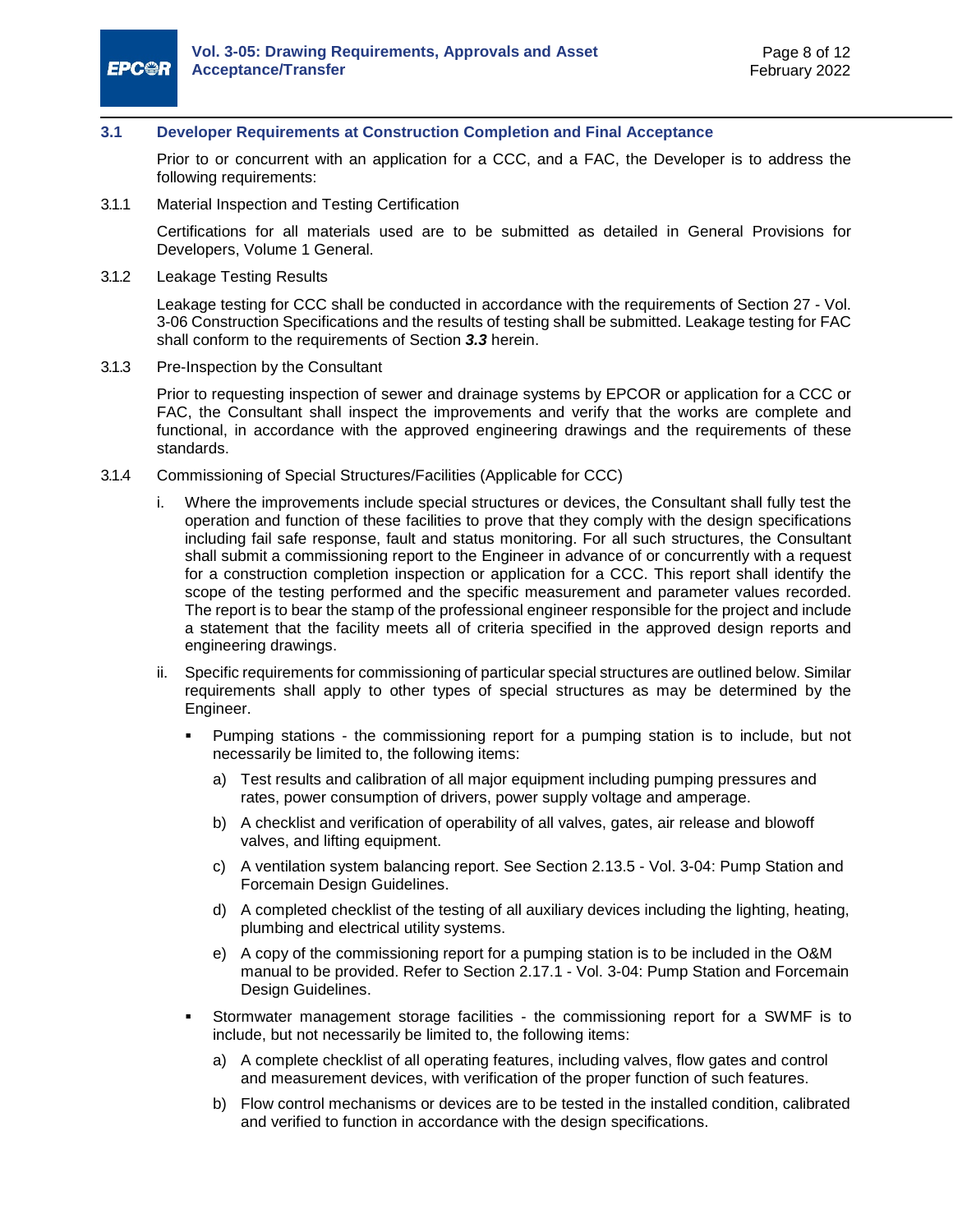

#### <span id="page-13-0"></span>**3.1 Developer Requirements at Construction Completion and Final Acceptance**

Prior to or concurrent with an application for a CCC, and a FAC, the Developer is to address the following requirements:

3.1.1 Material Inspection and Testing Certification

Certifications for all materials used are to be submitted as detailed in General Provisions for Developers, Volume 1 General.

3.1.2 Leakage Testing Results

Leakage testing for CCC shall be conducted in accordance with the requirements of Section 27 - Vol. 3-06 Construction Specifications and the results of testing shall be submitted. Leakage testing for FAC shall conform to the requirements of Section *[3.3](#page-14-1)* herein.

3.1.3 Pre-Inspection by the Consultant

Prior to requesting inspection of sewer and drainage systems by EPCOR or application for a CCC or FAC, the Consultant shall inspect the improvements and verify that the works are complete and functional, in accordance with the approved engineering drawings and the requirements of these standards.

- 3.1.4 Commissioning of Special Structures/Facilities (Applicable for CCC)
	- i. Where the improvements include special structures or devices, the Consultant shall fully test the operation and function of these facilities to prove that they comply with the design specifications including fail safe response, fault and status monitoring. For all such structures, the Consultant shall submit a commissioning report to the Engineer in advance of or concurrently with a request for a construction completion inspection or application for a CCC. This report shall identify the scope of the testing performed and the specific measurement and parameter values recorded. The report is to bear the stamp of the professional engineer responsible for the project and include a statement that the facility meets all of criteria specified in the approved design reports and engineering drawings.
	- ii. Specific requirements for commissioning of particular special structures are outlined below. Similar requirements shall apply to other types of special structures as may be determined by the Engineer.
		- Pumping stations the commissioning report for a pumping station is to include, but not necessarily be limited to, the following items:
			- a) Test results and calibration of all major equipment including pumping pressures and rates, power consumption of drivers, power supply voltage and amperage.
			- b) A checklist and verification of operability of all valves, gates, air release and blowoff valves, and lifting equipment.
			- c) A ventilation system balancing report. See Section 2.13.5 Vol. 3-04: Pump Station and Forcemain Design Guidelines.
			- d) A completed checklist of the testing of all auxiliary devices including the lighting, heating, plumbing and electrical utility systems.
			- e) A copy of the commissioning report for a pumping station is to be included in the O&M manual to be provided. Refer to Section 2.17.1 - Vol. 3-04: Pump Station and Forcemain Design Guidelines.
		- Stormwater management storage facilities the commissioning report for a SWMF is to include, but not necessarily be limited to, the following items:
			- a) A complete checklist of all operating features, including valves, flow gates and control and measurement devices, with verification of the proper function of such features.
			- b) Flow control mechanisms or devices are to be tested in the installed condition, calibrated and verified to function in accordance with the design specifications.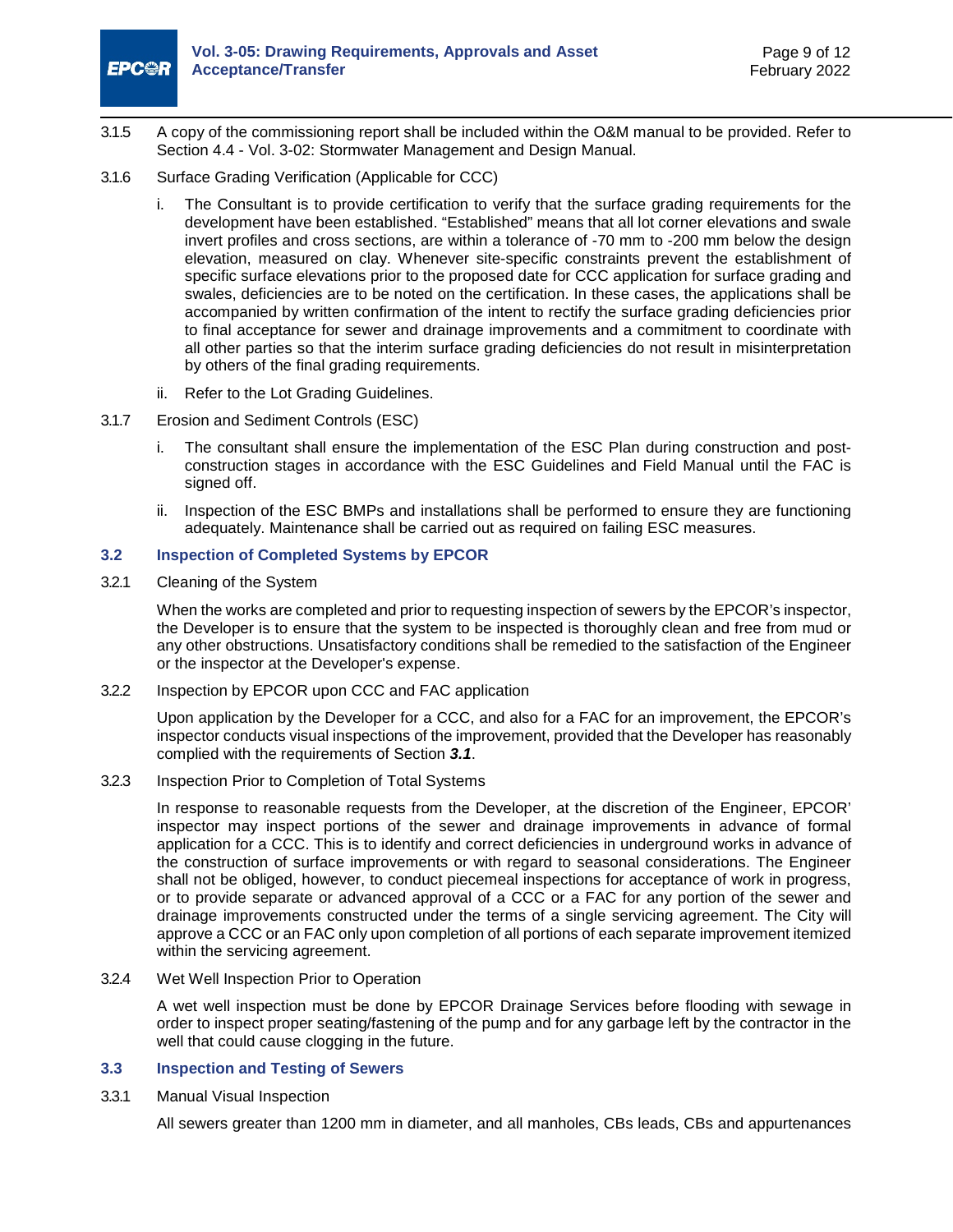

- 3.1.5 A copy of the commissioning report shall be included within the O&M manual to be provided. Refer to Section 4.4 - Vol. 3-02: Stormwater Management and Design Manual.
- 3.1.6 Surface Grading Verification (Applicable for CCC)
	- i. The Consultant is to provide certification to verify that the surface grading requirements for the development have been established. "Established" means that all lot corner elevations and swale invert profiles and cross sections, are within a tolerance of -70 mm to -200 mm below the design elevation, measured on clay. Whenever site-specific constraints prevent the establishment of specific surface elevations prior to the proposed date for CCC application for surface grading and swales, deficiencies are to be noted on the certification. In these cases, the applications shall be accompanied by written confirmation of the intent to rectify the surface grading deficiencies prior to final acceptance for sewer and drainage improvements and a commitment to coordinate with all other parties so that the interim surface grading deficiencies do not result in misinterpretation by others of the final grading requirements.
	- ii. Refer to the Lot Grading Guidelines.
- 3.1.7 Erosion and Sediment Controls (ESC)
	- The consultant shall ensure the implementation of the ESC Plan during construction and postconstruction stages in accordance with the ESC Guidelines and Field Manual until the FAC is signed off.
	- ii. Inspection of the ESC BMPs and installations shall be performed to ensure they are functioning adequately. Maintenance shall be carried out as required on failing ESC measures.

#### <span id="page-14-0"></span>**3.2 Inspection of Completed Systems by EPCOR**

3.2.1 Cleaning of the System

When the works are completed and prior to requesting inspection of sewers by the EPCOR's inspector, the Developer is to ensure that the system to be inspected is thoroughly clean and free from mud or any other obstructions. Unsatisfactory conditions shall be remedied to the satisfaction of the Engineer or the inspector at the Developer's expense.

3.2.2 Inspection by EPCOR upon CCC and FAC application

Upon application by the Developer for a CCC, and also for a FAC for an improvement, the EPCOR's inspector conducts visual inspections of the improvement, provided that the Developer has reasonably complied with the requirements of Section *[3.1](#page-13-0)*.

3.2.3 Inspection Prior to Completion of Total Systems

In response to reasonable requests from the Developer, at the discretion of the Engineer, EPCOR' inspector may inspect portions of the sewer and drainage improvements in advance of formal application for a CCC. This is to identify and correct deficiencies in underground works in advance of the construction of surface improvements or with regard to seasonal considerations. The Engineer shall not be obliged, however, to conduct piecemeal inspections for acceptance of work in progress, or to provide separate or advanced approval of a CCC or a FAC for any portion of the sewer and drainage improvements constructed under the terms of a single servicing agreement. The City will approve a CCC or an FAC only upon completion of all portions of each separate improvement itemized within the servicing agreement.

3.2.4 Wet Well Inspection Prior to Operation

A wet well inspection must be done by EPCOR Drainage Services before flooding with sewage in order to inspect proper seating/fastening of the pump and for any garbage left by the contractor in the well that could cause clogging in the future.

#### <span id="page-14-1"></span>**3.3 Inspection and Testing of Sewers**

<span id="page-14-2"></span>3.3.1 Manual Visual Inspection

All sewers greater than 1200 mm in diameter, and all manholes, CBs leads, CBs and appurtenances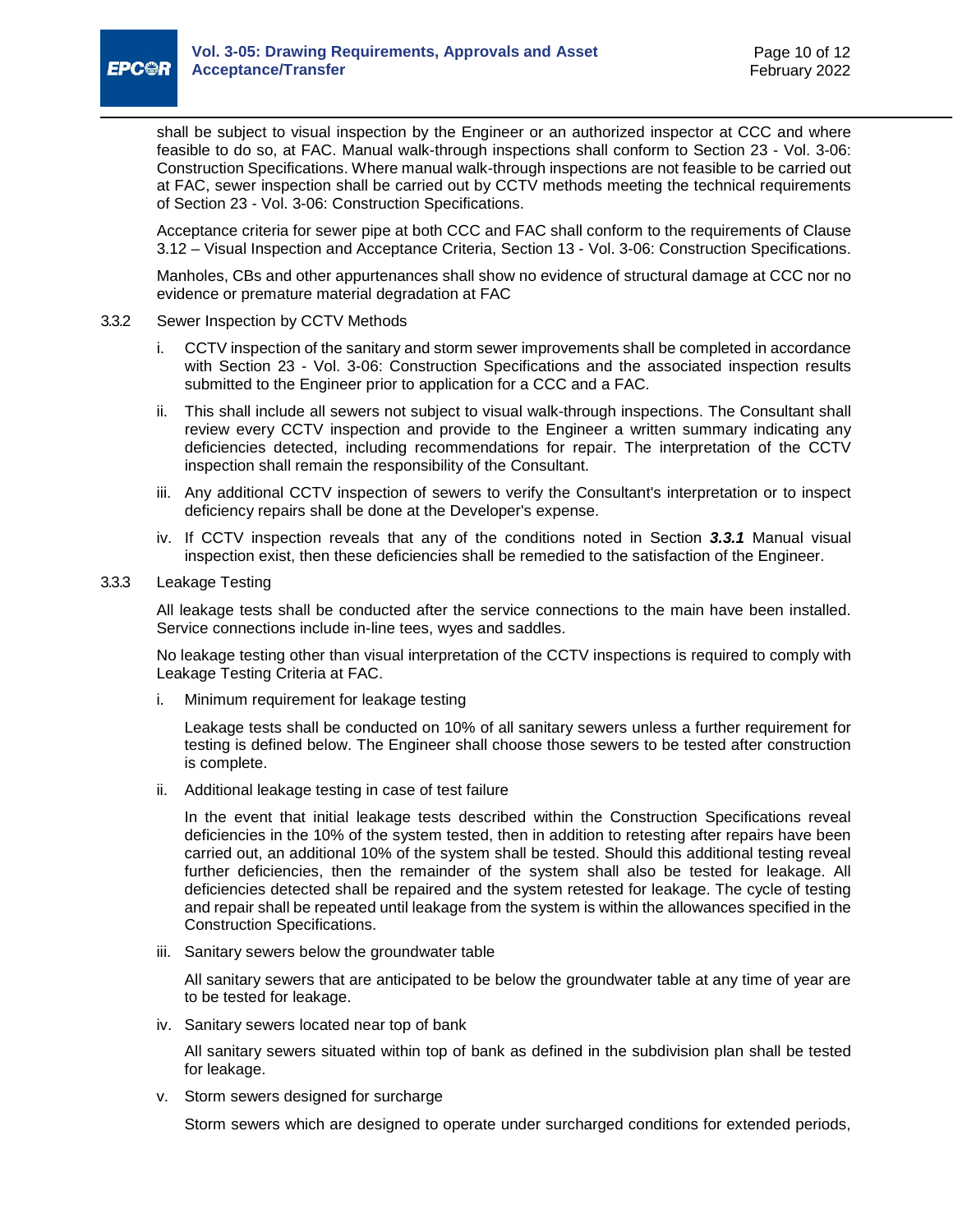

shall be subject to visual inspection by the Engineer or an authorized inspector at CCC and where feasible to do so, at FAC. Manual walk-through inspections shall conform to Section 23 - Vol. 3-06: Construction Specifications. Where manual walk-through inspections are not feasible to be carried out at FAC, sewer inspection shall be carried out by CCTV methods meeting the technical requirements of Section 23 - Vol. 3-06: Construction Specifications.

Acceptance criteria for sewer pipe at both CCC and FAC shall conform to the requirements of Clause 3.12 – Visual Inspection and Acceptance Criteria, Section 13 - Vol. 3-06: Construction Specifications.

Manholes, CBs and other appurtenances shall show no evidence of structural damage at CCC nor no evidence or premature material degradation at FAC

- 3.3.2 Sewer Inspection by CCTV Methods
	- i. CCTV inspection of the sanitary and storm sewer improvements shall be completed in accordance with Section 23 - Vol. 3-06: Construction Specifications and the associated inspection results submitted to the Engineer prior to application for a CCC and a FAC.
	- ii. This shall include all sewers not subject to visual walk-through inspections. The Consultant shall review every CCTV inspection and provide to the Engineer a written summary indicating any deficiencies detected, including recommendations for repair. The interpretation of the CCTV inspection shall remain the responsibility of the Consultant.
	- iii. Any additional CCTV inspection of sewers to verify the Consultant's interpretation or to inspect deficiency repairs shall be done at the Developer's expense.
	- iv. If CCTV inspection reveals that any of the conditions noted in Section *[3.3.1](#page-14-2)* [Manual visual](#page-14-2)  [inspection](#page-14-2) exist, then these deficiencies shall be remedied to the satisfaction of the Engineer.
- 3.3.3 Leakage Testing

All leakage tests shall be conducted after the service connections to the main have been installed. Service connections include in-line tees, wyes and saddles.

No leakage testing other than visual interpretation of the CCTV inspections is required to comply with Leakage Testing Criteria at FAC.

i. Minimum requirement for leakage testing

Leakage tests shall be conducted on 10% of all sanitary sewers unless a further requirement for testing is defined below. The Engineer shall choose those sewers to be tested after construction is complete.

ii. Additional leakage testing in case of test failure

In the event that initial leakage tests described within the Construction Specifications reveal deficiencies in the 10% of the system tested, then in addition to retesting after repairs have been carried out, an additional 10% of the system shall be tested. Should this additional testing reveal further deficiencies, then the remainder of the system shall also be tested for leakage. All deficiencies detected shall be repaired and the system retested for leakage. The cycle of testing and repair shall be repeated until leakage from the system is within the allowances specified in the Construction Specifications.

iii. Sanitary sewers below the groundwater table

All sanitary sewers that are anticipated to be below the groundwater table at any time of year are to be tested for leakage.

iv. Sanitary sewers located near top of bank

All sanitary sewers situated within top of bank as defined in the subdivision plan shall be tested for leakage.

v. Storm sewers designed for surcharge

Storm sewers which are designed to operate under surcharged conditions for extended periods,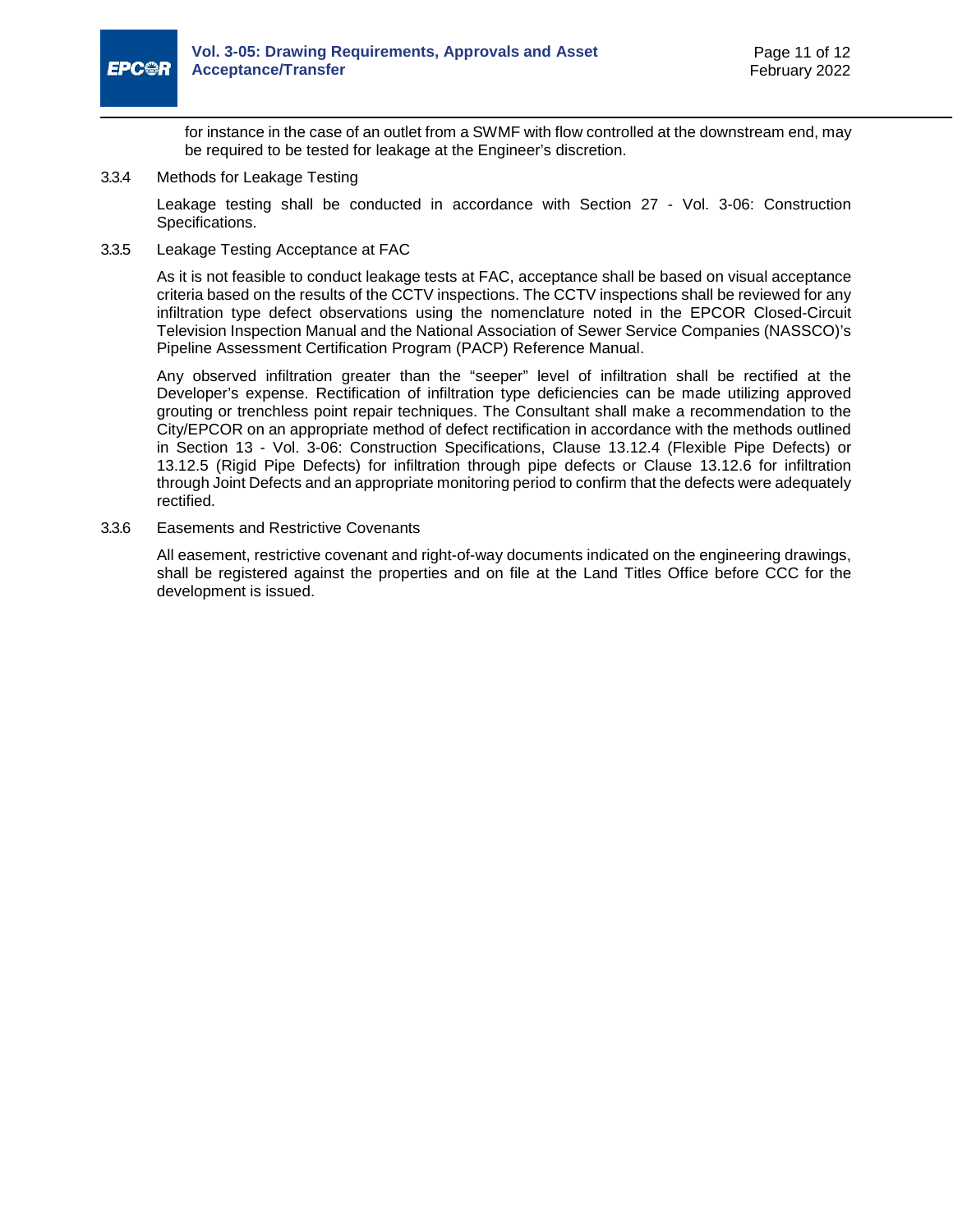

for instance in the case of an outlet from a SWMF with flow controlled at the downstream end, may be required to be tested for leakage at the Engineer's discretion.

3.3.4 Methods for Leakage Testing

Leakage testing shall be conducted in accordance with Section 27 - Vol. 3-06: Construction Specifications.

3.3.5 Leakage Testing Acceptance at FAC

As it is not feasible to conduct leakage tests at FAC, acceptance shall be based on visual acceptance criteria based on the results of the CCTV inspections. The CCTV inspections shall be reviewed for any infiltration type defect observations using the nomenclature noted in the EPCOR Closed-Circuit Television Inspection Manual and the National Association of Sewer Service Companies (NASSCO)'s Pipeline Assessment Certification Program (PACP) Reference Manual.

Any observed infiltration greater than the "seeper" level of infiltration shall be rectified at the Developer's expense. Rectification of infiltration type deficiencies can be made utilizing approved grouting or trenchless point repair techniques. The Consultant shall make a recommendation to the City/EPCOR on an appropriate method of defect rectification in accordance with the methods outlined in Section 13 - Vol. 3-06: Construction Specifications, Clause 13.12.4 (Flexible Pipe Defects) or 13.12.5 (Rigid Pipe Defects) for infiltration through pipe defects or Clause 13.12.6 for infiltration through Joint Defects and an appropriate monitoring period to confirm that the defects were adequately rectified.

3.3.6 Easements and Restrictive Covenants

All easement, restrictive covenant and right-of-way documents indicated on the engineering drawings, shall be registered against the properties and on file at the Land Titles Office before CCC for the development is issued.